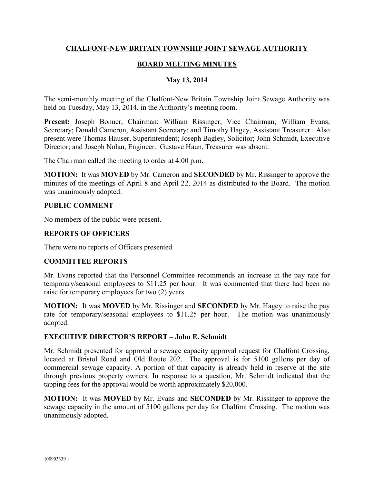## **CHALFONT-NEW BRITAIN TOWNSHIP JOINT SEWAGE AUTHORITY**

# **BOARD MEETING MINUTES**

## **May 13, 2014**

The semi-monthly meeting of the Chalfont-New Britain Township Joint Sewage Authority was held on Tuesday, May 13, 2014, in the Authority's meeting room.

**Present:** Joseph Bonner, Chairman; William Rissinger, Vice Chairman; William Evans, Secretary; Donald Cameron, Assistant Secretary; and Timothy Hagey, Assistant Treasurer. Also present were Thomas Hauser, Superintendent; Joseph Bagley, Solicitor; John Schmidt, Executive Director; and Joseph Nolan, Engineer. Gustave Haun, Treasurer was absent.

The Chairman called the meeting to order at 4:00 p.m.

**MOTION:** It was **MOVED** by Mr. Cameron and **SECONDED** by Mr. Rissinger to approve the minutes of the meetings of April 8 and April 22, 2014 as distributed to the Board. The motion was unanimously adopted.

#### **PUBLIC COMMENT**

No members of the public were present.

### **REPORTS OF OFFICERS**

There were no reports of Officers presented.

#### **COMMITTEE REPORTS**

Mr. Evans reported that the Personnel Committee recommends an increase in the pay rate for temporary/seasonal employees to \$11.25 per hour. It was commented that there had been no raise for temporary employees for two (2) years.

**MOTION:** It was **MOVED** by Mr. Rissinger and **SECONDED** by Mr. Hagey to raise the pay rate for temporary/seasonal employees to \$11.25 per hour. The motion was unanimously adopted.

#### **EXECUTIVE DIRECTOR'S REPORT – John E. Schmidt**

Mr. Schmidt presented for approval a sewage capacity approval request for Chalfont Crossing, located at Bristol Road and Old Route 202. The approval is for 5100 gallons per day of commercial sewage capacity. A portion of that capacity is already held in reserve at the site through previous property owners. In response to a question, Mr. Schmidt indicated that the tapping fees for the approval would be worth approximately \$20,000.

**MOTION:** It was **MOVED** by Mr. Evans and **SECONDED** by Mr. Rissinger to approve the sewage capacity in the amount of 5100 gallons per day for Chalfont Crossing. The motion was unanimously adopted.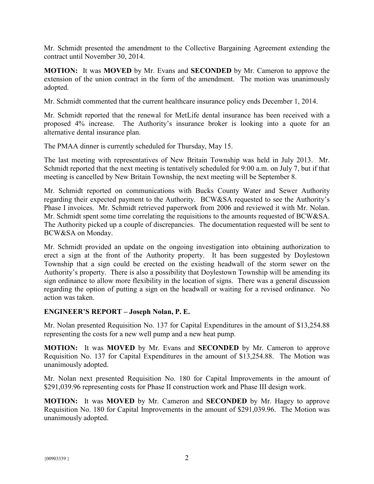Mr. Schmidt presented the amendment to the Collective Bargaining Agreement extending the contract until November 30, 2014.

**MOTION:** It was **MOVED** by Mr. Evans and **SECONDED** by Mr. Cameron to approve the extension of the union contract in the form of the amendment. The motion was unanimously adopted.

Mr. Schmidt commented that the current healthcare insurance policy ends December 1, 2014.

Mr. Schmidt reported that the renewal for MetLife dental insurance has been received with a proposed 4% increase. The Authority's insurance broker is looking into a quote for an alternative dental insurance plan.

The PMAA dinner is currently scheduled for Thursday, May 15.

The last meeting with representatives of New Britain Township was held in July 2013. Mr. Schmidt reported that the next meeting is tentatively scheduled for 9:00 a.m. on July 7, but if that meeting is cancelled by New Britain Township, the next meeting will be September 8.

Mr. Schmidt reported on communications with Bucks County Water and Sewer Authority regarding their expected payment to the Authority. BCW&SA requested to see the Authority's Phase I invoices. Mr. Schmidt retrieved paperwork from 2006 and reviewed it with Mr. Nolan. Mr. Schmidt spent some time correlating the requisitions to the amounts requested of BCW&SA. The Authority picked up a couple of discrepancies. The documentation requested will be sent to BCW&SA on Monday.

Mr. Schmidt provided an update on the ongoing investigation into obtaining authorization to erect a sign at the front of the Authority property. It has been suggested by Doylestown Township that a sign could be erected on the existing headwall of the storm sewer on the Authority's property. There is also a possibility that Doylestown Township will be amending its sign ordinance to allow more flexibility in the location of signs. There was a general discussion regarding the option of putting a sign on the headwall or waiting for a revised ordinance. No action was taken.

#### **ENGINEER'S REPORT – Joseph Nolan, P. E.**

Mr. Nolan presented Requisition No. 137 for Capital Expenditures in the amount of \$13,254.88 representing the costs for a new well pump and a new heat pump.

**MOTION:** It was **MOVED** by Mr. Evans and **SECONDED** by Mr. Cameron to approve Requisition No. 137 for Capital Expenditures in the amount of \$13,254.88. The Motion was unanimously adopted.

Mr. Nolan next presented Requisition No. 180 for Capital Improvements in the amount of \$291,039.96 representing costs for Phase II construction work and Phase III design work.

**MOTION:** It was **MOVED** by Mr. Cameron and **SECONDED** by Mr. Hagey to approve Requisition No. 180 for Capital Improvements in the amount of \$291,039.96. The Motion was unanimously adopted.